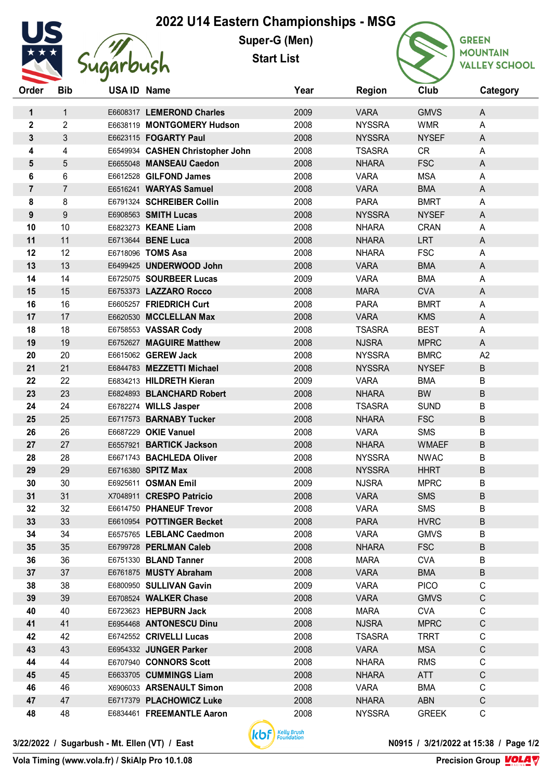## **2022 U14 Eastern Championships - MSG**



**Super-G (Men) Start List**



**GREEN MOUNTAIN VALLEY SCHOOL** 

| Order            | <b>Bib</b>     | USA ID Name |                                                   | Year         | <b>Region</b>                | Club                      | Category         |
|------------------|----------------|-------------|---------------------------------------------------|--------------|------------------------------|---------------------------|------------------|
| 1                | 1              |             | E6608317 LEMEROND Charles                         | 2009         | <b>VARA</b>                  | <b>GMVS</b>               | A                |
| $\mathbf 2$      | $\overline{2}$ |             | E6638119 MONTGOMERY Hudson                        | 2008         | <b>NYSSRA</b>                | <b>WMR</b>                | A                |
| 3                | 3              |             | E6623115 FOGARTY Paul                             | 2008         | <b>NYSSRA</b>                | <b>NYSEF</b>              | A                |
| 4                | 4              |             | E6549934 CASHEN Christopher John                  | 2008         | <b>TSASRA</b>                | <b>CR</b>                 | A                |
| 5                | 5              |             | E6655048 MANSEAU Caedon                           | 2008         | <b>NHARA</b>                 | <b>FSC</b>                | A                |
| 6                | 6              |             | E6612528 GILFOND James                            | 2008         | <b>VARA</b>                  | <b>MSA</b>                | A                |
| $\overline{7}$   | $\overline{7}$ |             | E6516241 WARYAS Samuel                            | 2008         | <b>VARA</b>                  | <b>BMA</b>                | A                |
| 8                | 8              |             | E6791324 SCHREIBER Collin                         | 2008         | <b>PARA</b>                  | <b>BMRT</b>               | A                |
| $\boldsymbol{9}$ | 9              |             | E6908563 SMITH Lucas                              | 2008         | <b>NYSSRA</b>                | <b>NYSEF</b>              | A                |
| 10               | 10             |             | E6823273 KEANE Liam                               | 2008         | <b>NHARA</b>                 | <b>CRAN</b>               | A                |
| 11               | 11             |             | E6713644 BENE Luca                                | 2008         | <b>NHARA</b>                 | <b>LRT</b>                | A                |
| 12               | 12             |             | E6718096 TOMS Asa                                 | 2008         | <b>NHARA</b>                 | <b>FSC</b>                | A                |
| 13               | 13             |             | E6499425 UNDERWOOD John                           | 2008         | <b>VARA</b>                  | <b>BMA</b>                | A                |
| 14               | 14             |             | E6725075 SOURBEER Lucas                           | 2009         | <b>VARA</b>                  | <b>BMA</b>                | A                |
| 15               | 15             |             | E6753373 LAZZARO Rocco                            | 2008         | <b>MARA</b>                  | <b>CVA</b>                | A                |
| 16               | 16             |             | E6605257 FRIEDRICH Curt                           | 2008         | <b>PARA</b>                  | <b>BMRT</b>               | A                |
| 17               | 17             |             | E6620530 MCCLELLAN Max                            | 2008         | <b>VARA</b>                  | <b>KMS</b>                | A                |
| 18               | 18             |             | E6758553 VASSAR Cody                              | 2008         | <b>TSASRA</b>                | <b>BEST</b>               | A                |
| 19               | 19             |             | E6752627 MAGUIRE Matthew                          | 2008         | <b>NJSRA</b>                 | <b>MPRC</b>               | A                |
| 20               | 20             |             | E6615062 GEREW Jack                               | 2008         | <b>NYSSRA</b>                | <b>BMRC</b>               | A2               |
| 21               | 21             |             | E6844783 MEZZETTI Michael                         | 2008         | <b>NYSSRA</b>                | <b>NYSEF</b>              | $\sf B$          |
| 22               | 22             |             | E6834213 HILDRETH Kieran                          | 2009         | <b>VARA</b>                  | <b>BMA</b>                | B                |
| 23               | 23             |             | E6824893 BLANCHARD Robert                         | 2008         | <b>NHARA</b>                 | <b>BW</b>                 | $\sf B$          |
| 24               | 24             |             | E6782274 WILLS Jasper                             | 2008         | <b>TSASRA</b>                | <b>SUND</b>               | B                |
| 25               | 25             |             | E6717573 BARNABY Tucker                           | 2008         | <b>NHARA</b>                 | <b>FSC</b>                | $\sf B$          |
| 26               | 26             |             | E6687229 OKIE Vanuel                              | 2008         | <b>VARA</b>                  | <b>SMS</b>                | B                |
| 27               | 27             |             | E6557921 BARTICK Jackson                          | 2008         | <b>NHARA</b>                 | <b>WMAEF</b>              | B                |
| 28               | 28             |             | E6671743 BACHLEDA Oliver                          | 2008         | <b>NYSSRA</b>                | <b>NWAC</b>               | B                |
| 29               | 29             |             | E6716380 SPITZ Max                                | 2008         | <b>NYSSRA</b>                | <b>HHRT</b>               | $\sf B$          |
| 30               | 30             |             | E6925611 OSMAN Emil                               | 2009         | <b>NJSRA</b>                 | <b>MPRC</b>               | B                |
| 31               | 31             |             | X7048911 CRESPO Patricio                          | 2008         | <b>VARA</b>                  | <b>SMS</b>                | B                |
| 32               | 32             |             | E6614750 PHANEUF Trevor                           | 2008         | VARA                         | SMS                       | B                |
| 33               | 33             |             | E6610954 POTTINGER Becket                         | 2008         | <b>PARA</b>                  | <b>HVRC</b>               | B                |
| 34               | 34             |             | E6575765 LEBLANC Caedmon                          | 2008         | <b>VARA</b>                  | <b>GMVS</b>               | B                |
| 35               | 35             |             | E6799728 PERLMAN Caleb                            | 2008         | <b>NHARA</b>                 | <b>FSC</b>                | $\sf B$          |
| 36               | 36             |             | E6751330 BLAND Tanner                             | 2008         | <b>MARA</b>                  | <b>CVA</b>                | B                |
| 37<br>38         | 37<br>38       |             | E6761875 MUSTY Abraham<br>E6800950 SULLIVAN Gavin | 2008<br>2009 | <b>VARA</b>                  | <b>BMA</b><br><b>PICO</b> | B<br>$\mathsf C$ |
| 39               | 39             |             | E6708524 WALKER Chase                             | 2008         | VARA<br><b>VARA</b>          |                           | $\mathsf{C}$     |
| 40               | 40             |             | E6723623 HEPBURN Jack                             | 2008         | <b>MARA</b>                  | <b>GMVS</b><br><b>CVA</b> | $\mathsf{C}$     |
| 41               | 41             |             | E6954468 ANTONESCU Dinu                           | 2008         | <b>NJSRA</b>                 | <b>MPRC</b>               | $\mathsf C$      |
| 42               | 42             |             | E6742552 CRIVELLI Lucas                           | 2008         |                              |                           | $\mathsf C$      |
| 43               | 43             |             | E6954332 JUNGER Parker                            | 2008         | <b>TSASRA</b><br><b>VARA</b> | <b>TRRT</b><br><b>MSA</b> | $\mathsf{C}$     |
| 44               | 44             |             | E6707940 CONNORS Scott                            | 2008         | <b>NHARA</b>                 | <b>RMS</b>                | C                |
| 45               | 45             |             | E6633705 CUMMINGS Liam                            | 2008         | <b>NHARA</b>                 | ATT                       | $\mathsf C$      |
| 46               | 46             |             | X6906033 ARSENAULT Simon                          | 2008         | <b>VARA</b>                  | <b>BMA</b>                | C                |
| 47               | 47             |             | E6717379 PLACHOWICZ Luke                          | 2008         | <b>NHARA</b>                 | <b>ABN</b>                | $\mathsf C$      |
| 48               | 48             |             | E6834461 FREEMANTLE Aaron                         | 2008         | <b>NYSSRA</b>                | <b>GREEK</b>              | $\mathsf C$      |
|                  |                |             |                                                   |              |                              |                           |                  |



**Precision Group VOLA V** 

**Vola Timing (www.vola.fr) / SkiAlp Pro 10.1.08**